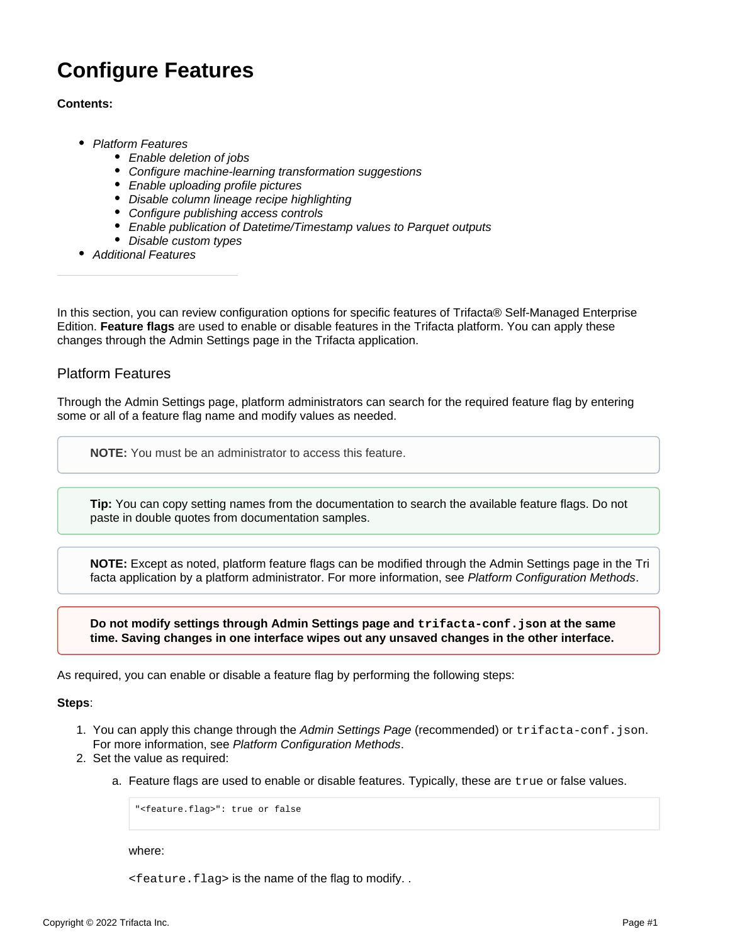# **Configure Features**

### **Contents:**

- [Platform Features](#page-0-0)
	- [Enable deletion of jobs](#page-1-0)
	- [Configure machine-learning transformation suggestions](#page-1-1)
	- [Enable uploading profile pictures](#page-1-2)
	- [Disable column lineage recipe highlighting](#page-1-3)
	- [Configure publishing access controls](#page-2-0)
	- [Enable publication of Datetime/Timestamp values to Parquet outputs](#page-2-1)
	- [Disable custom types](#page-2-2)
- [Additional Features](#page-2-3)

In this section, you can review configuration options for specific features of Trifacta® Self-Managed Enterprise Edition. **Feature flags** are used to enable or disable features in the Trifacta platform. You can apply these changes through the Admin Settings page in the Trifacta application.

## <span id="page-0-0"></span>Platform Features

Through the Admin Settings page, platform administrators can search for the required feature flag by entering some or all of a feature flag name and modify values as needed.

**NOTE:** You must be an administrator to access this feature.

**Tip:** You can copy setting names from the documentation to search the available feature flags. Do not paste in double quotes from documentation samples.

**NOTE:** Except as noted, platform feature flags can be modified through the Admin Settings page in the Tri facta application by a platform administrator. For more information, see [Platform Configuration Methods](https://docs.trifacta.com/display/r082/Platform+Configuration+Methods).

**Do not modify settings through Admin Settings page and trifacta-conf.json at the same time. Saving changes in one interface wipes out any unsaved changes in the other interface.**

As required, you can enable or disable a feature flag by performing the following steps:

#### **Steps**:

- 1. You can apply this change through the [Admin Settings Page](https://docs.trifacta.com/display/r082/Admin+Settings+Page) (recommended) or trifacta-conf.json. For more information, see [Platform Configuration Methods](https://docs.trifacta.com/display/r082/Platform+Configuration+Methods).
- 2. Set the value as required:
	- a. Feature flags are used to enable or disable features. Typically, these are true or false values.

"<feature.flag>": true or false

where:

<feature.flag> is the name of the flag to modify. .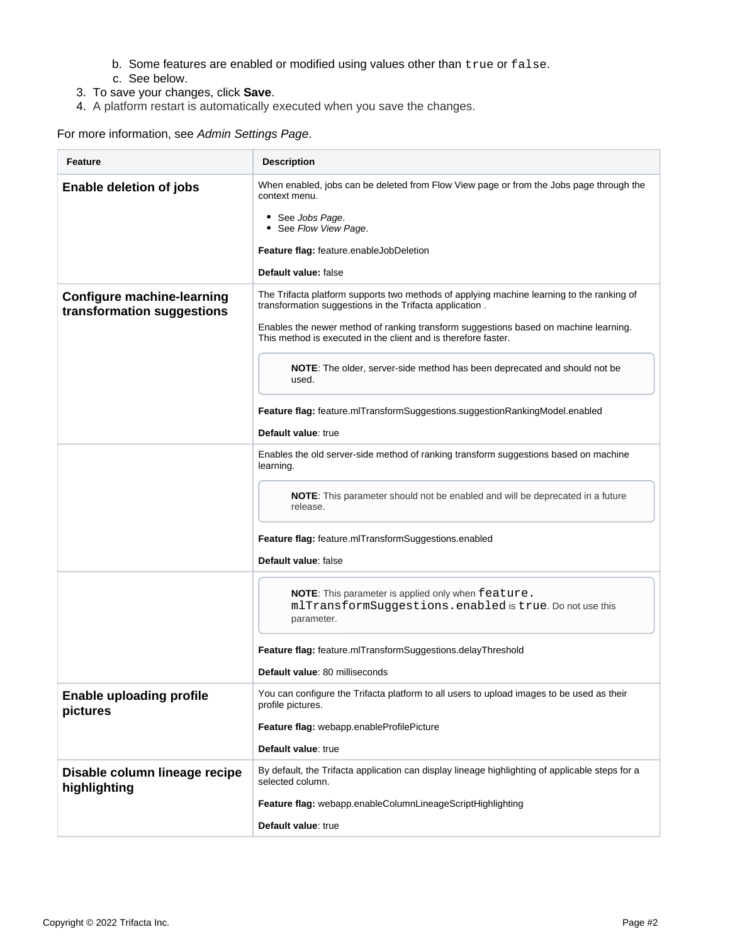- b. Some features are enabled or modified using values other than true or false.
- c. See below.
- 3. To save your changes, click **Save**.
- 4. A platform restart is automatically executed when you save the changes.

For more information, see [Admin Settings Page](https://docs.trifacta.com/display/r082/Admin+Settings+Page).

<span id="page-1-3"></span><span id="page-1-2"></span><span id="page-1-1"></span><span id="page-1-0"></span>

| Feature                                                         | <b>Description</b>                                                                                                                                                                                                                                                                                                                                                                                          |
|-----------------------------------------------------------------|-------------------------------------------------------------------------------------------------------------------------------------------------------------------------------------------------------------------------------------------------------------------------------------------------------------------------------------------------------------------------------------------------------------|
| Enable deletion of jobs                                         | When enabled, jobs can be deleted from Flow View page or from the Jobs page through the<br>context menu.<br>• See Jobs Page.<br>• See Flow View Page.<br>Feature flag: feature.enableJobDeletion<br>Default value: false                                                                                                                                                                                    |
| <b>Configure machine-learning</b><br>transformation suggestions | The Trifacta platform supports two methods of applying machine learning to the ranking of<br>transformation suggestions in the Trifacta application.<br>Enables the newer method of ranking transform suggestions based on machine learning.<br>This method is executed in the client and is therefore faster.<br><b>NOTE:</b> The older, server-side method has been deprecated and should not be<br>used. |
|                                                                 | Feature flag: feature.mlTransformSuggestions.suggestionRankingModel.enabled<br>Default value: true                                                                                                                                                                                                                                                                                                          |
|                                                                 | Enables the old server-side method of ranking transform suggestions based on machine<br>learning.                                                                                                                                                                                                                                                                                                           |
|                                                                 | <b>NOTE:</b> This parameter should not be enabled and will be deprecated in a future<br>release.                                                                                                                                                                                                                                                                                                            |
|                                                                 | Feature flag: feature.mlTransformSuggestions.enabled<br>Default value: false                                                                                                                                                                                                                                                                                                                                |
|                                                                 | NOTE: This parameter is applied only when feature.<br>mlTransformSuggestions.enabled is true. Do not use this<br>parameter.                                                                                                                                                                                                                                                                                 |
|                                                                 | Feature flag: feature.mlTransformSuggestions.delayThreshold<br>Default value: 80 milliseconds                                                                                                                                                                                                                                                                                                               |
| <b>Enable uploading profile</b><br>pictures                     | You can configure the Trifacta platform to all users to upload images to be used as their<br>profile pictures.<br>Feature flag: webapp.enableProfilePicture<br>Default value: true                                                                                                                                                                                                                          |
| Disable column lineage recipe<br>highlighting                   | By default, the Trifacta application can display lineage highlighting of applicable steps for a<br>selected column.<br>Feature flag: webapp.enableColumnLineageScriptHighlighting<br>Default value: true                                                                                                                                                                                                    |